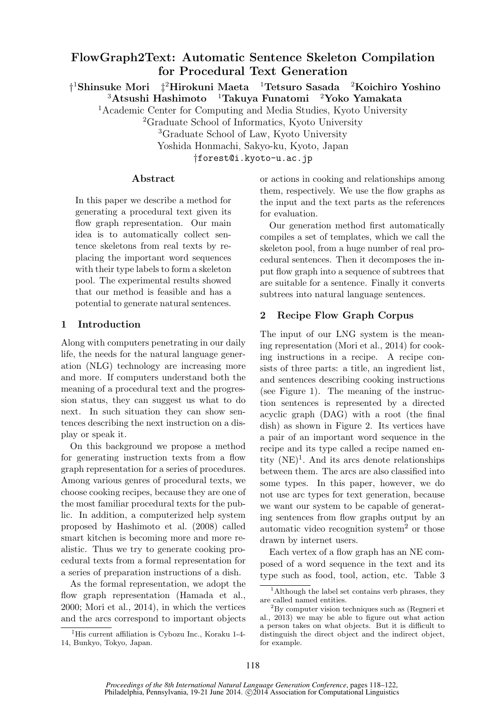# FlowGraph2Text: Automatic Sentence Skeleton Compilation for Procedural Text Generation

† <sup>1</sup>Shinsuke Mori ‡ <sup>2</sup>Hirokuni Maeta <sup>1</sup>Tetsuro Sasada <sup>2</sup>Koichiro Yoshino  $3$ Atsushi Hashimoto  $1$ Takuya Funatomi  $2$ Yoko Yamakata

<sup>1</sup>Academic Center for Computing and Media Studies, Kyoto University

<sup>2</sup>Graduate School of Informatics, Kyoto University

<sup>3</sup>Graduate School of Law, Kyoto University

Yoshida Honmachi, Sakyo-ku, Kyoto, Japan

†forest@i.kyoto-u.ac.jp

### Abstract

In this paper we describe a method for generating a procedural text given its flow graph representation. Our main idea is to automatically collect sentence skeletons from real texts by replacing the important word sequences with their type labels to form a skeleton pool. The experimental results showed that our method is feasible and has a potential to generate natural sentences.

## 1 Introduction

Along with computers penetrating in our daily life, the needs for the natural language generation (NLG) technology are increasing more and more. If computers understand both the meaning of a procedural text and the progression status, they can suggest us what to do next. In such situation they can show sentences describing the next instruction on a display or speak it.

On this background we propose a method for generating instruction texts from a flow graph representation for a series of procedures. Among various genres of procedural texts, we choose cooking recipes, because they are one of the most familiar procedural texts for the public. In addition, a computerized help system proposed by Hashimoto et al. (2008) called smart kitchen is becoming more and more realistic. Thus we try to generate cooking procedural texts from a formal representation for a series of preparation instructions of a dish.

As the formal representation, we adopt the flow graph representation (Hamada et al., 2000; Mori et al., 2014), in which the vertices and the arcs correspond to important objects

‡His current affiliation is Cybozu Inc., Koraku 1-4- 14, Bunkyo, Tokyo, Japan.

or actions in cooking and relationships among them, respectively. We use the flow graphs as the input and the text parts as the references for evaluation.

Our generation method first automatically compiles a set of templates, which we call the skeleton pool, from a huge number of real procedural sentences. Then it decomposes the input flow graph into a sequence of subtrees that are suitable for a sentence. Finally it converts subtrees into natural language sentences.

## 2 Recipe Flow Graph Corpus

The input of our LNG system is the meaning representation (Mori et al., 2014) for cooking instructions in a recipe. A recipe consists of three parts: a title, an ingredient list, and sentences describing cooking instructions (see Figure 1). The meaning of the instruction sentences is represented by a directed acyclic graph (DAG) with a root (the final dish) as shown in Figure 2. Its vertices have a pair of an important word sequence in the recipe and its type called a recipe named entity  $(NE)^1$ . And its arcs denote relationships between them. The arcs are also classified into some types. In this paper, however, we do not use arc types for text generation, because we want our system to be capable of generating sentences from flow graphs output by an automatic video recognition system<sup>2</sup> or those drawn by internet users.

Each vertex of a flow graph has an NE composed of a word sequence in the text and its type such as food, tool, action, etc. Table 3

<sup>&</sup>lt;sup>1</sup>Although the label set contains verb phrases, they are called named entities.

<sup>2</sup>By computer vision techniques such as (Regneri et al., 2013) we may be able to figure out what action a person takes on what objects. But it is difficult to distinguish the direct object and the indirect object, for example.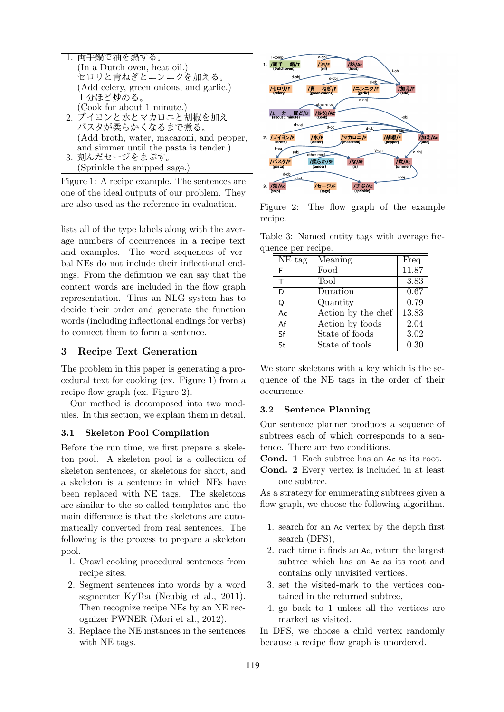

Figure 1: A recipe example. The sentences are one of the ideal outputs of our problem. They are also used as the reference in evaluation.

lists all of the type labels along with the average numbers of occurrences in a recipe text and examples. The word sequences of verbal NEs do not include their inflectional endings. From the definition we can say that the content words are included in the flow graph representation. Thus an NLG system has to decide their order and generate the function words (including inflectional endings for verbs) to connect them to form a sentence.

## 3 Recipe Text Generation

The problem in this paper is generating a procedural text for cooking (ex. Figure 1) from a recipe flow graph (ex. Figure 2).

Our method is decomposed into two modules. In this section, we explain them in detail.

### 3.1 Skeleton Pool Compilation

Before the run time, we first prepare a skeleton pool. A skeleton pool is a collection of skeleton sentences, or skeletons for short, and a skeleton is a sentence in which NEs have been replaced with NE tags. The skeletons are similar to the so-called templates and the main difference is that the skeletons are automatically converted from real sentences. The following is the process to prepare a skeleton pool.

- 1. Crawl cooking procedural sentences from recipe sites.
- 2. Segment sentences into words by a word segmenter KyTea (Neubig et al., 2011). Then recognize recipe NEs by an NE recognizer PWNER (Mori et al., 2012).
- 3. Replace the NE instances in the sentences with NE tags.



Figure 2: The flow graph of the example recipe.

Table 3: Named entity tags with average frequence per recipe.

| $\overline{\text{NE}}$ tag | Meaning                                | Freq.             |
|----------------------------|----------------------------------------|-------------------|
| F                          | Food                                   | 11.87             |
| Τ                          | Tool                                   | 3.83              |
| D                          | Duration                               | 0.67              |
| Q                          | Quantity                               | 0.79              |
| Ac                         | $\overline{\text{Action}}$ by the chef | 13.83             |
| Af                         | Action by foods                        | $\overline{2.04}$ |
| Sf                         | State of foods                         | $\overline{3.02}$ |
| $\overline{\mathsf{St}}$   | State of tools                         | $\overline{0.30}$ |

We store skeletons with a key which is the sequence of the NE tags in the order of their occurrence.

### 3.2 Sentence Planning

Our sentence planner produces a sequence of subtrees each of which corresponds to a sentence. There are two conditions.

Cond. 1 Each subtree has an Ac as its root.

Cond. 2 Every vertex is included in at least one subtree.

As a strategy for enumerating subtrees given a flow graph, we choose the following algorithm.

- 1. search for an Ac vertex by the depth first search (DFS),
- 2. each time it finds an Ac, return the largest subtree which has an Ac as its root and contains only unvisited vertices.
- 3. set the visited-mark to the vertices contained in the returned subtree,
- 4. go back to 1 unless all the vertices are marked as visited.

In DFS, we choose a child vertex randomly because a recipe flow graph is unordered.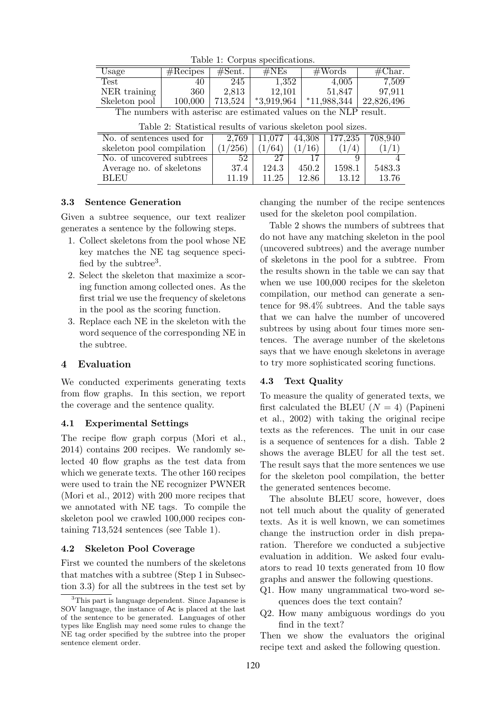| $\frac{1}{2}$                                                     |          |         |                |               |                  |  |  |  |  |
|-------------------------------------------------------------------|----------|---------|----------------|---------------|------------------|--|--|--|--|
| Usage                                                             | #Recipes | #Sent.  | $\#\text{NEs}$ | #Words        | $\#\text{Char.}$ |  |  |  |  |
| Test                                                              | 40       | 245     | 1,352          | 4,005         | 7,509            |  |  |  |  |
| NER training                                                      | 360      | 2,813   | 12,101         | 51,847        | 97.911           |  |  |  |  |
| Skeleton pool                                                     | 100,000  | 713,524 | $*3,919,964$   | $*11,988,344$ | 22,826,496       |  |  |  |  |
| The numbers with asterisc are estimated values on the NLP result. |          |         |                |               |                  |  |  |  |  |

Table 1: Corpus specifications.

| Table 2: Statistical results of various skeleton pool sizes. |  |
|--------------------------------------------------------------|--|
|--------------------------------------------------------------|--|

| No. of sentences used for | 2,769   | 11.077 | 44,308 | 177.235 | 708.940 |
|---------------------------|---------|--------|--------|---------|---------|
| skeleton pool compilation | (1/256) | (1/64) | (1/16) | (4)     |         |
| No. of uncovered subtrees | 52      |        |        |         |         |
| Average no. of skeletons  | 37.4    | 124.3  | 450.2  | 1598.1  | 5483.3  |
| BLEU                      | 11.19   | 11.25  | 12.86  | 13.12   | 13.76   |

### 3.3 Sentence Generation

 $\equiv$ 

Given a subtree sequence, our text realizer generates a sentence by the following steps.

- 1. Collect skeletons from the pool whose NE key matches the NE tag sequence specified by the subtree<sup>3</sup>.
- 2. Select the skeleton that maximize a scoring function among collected ones. As the first trial we use the frequency of skeletons in the pool as the scoring function.
- 3. Replace each NE in the skeleton with the word sequence of the corresponding NE in the subtree.

### 4 Evaluation

We conducted experiments generating texts from flow graphs. In this section, we report the coverage and the sentence quality.

#### 4.1 Experimental Settings

The recipe flow graph corpus (Mori et al., 2014) contains 200 recipes. We randomly selected 40 flow graphs as the test data from which we generate texts. The other 160 recipes were used to train the NE recognizer PWNER (Mori et al., 2012) with 200 more recipes that we annotated with NE tags. To compile the skeleton pool we crawled 100,000 recipes containing 713,524 sentences (see Table 1).

#### 4.2 Skeleton Pool Coverage

First we counted the numbers of the skeletons that matches with a subtree (Step 1 in Subsection 3.3) for all the subtrees in the test set by

changing the number of the recipe sentences used for the skeleton pool compilation.

Table 2 shows the numbers of subtrees that do not have any matching skeleton in the pool (uncovered subtrees) and the average number of skeletons in the pool for a subtree. From the results shown in the table we can say that when we use 100,000 recipes for the skeleton compilation, our method can generate a sentence for 98.4% subtrees. And the table says that we can halve the number of uncovered subtrees by using about four times more sentences. The average number of the skeletons says that we have enough skeletons in average to try more sophisticated scoring functions.

#### 4.3 Text Quality

To measure the quality of generated texts, we first calculated the BLEU  $(N = 4)$  (Papineni et al., 2002) with taking the original recipe texts as the references. The unit in our case is a sequence of sentences for a dish. Table 2 shows the average BLEU for all the test set. The result says that the more sentences we use for the skeleton pool compilation, the better the generated sentences become.

The absolute BLEU score, however, does not tell much about the quality of generated texts. As it is well known, we can sometimes change the instruction order in dish preparation. Therefore we conducted a subjective evaluation in addition. We asked four evaluators to read 10 texts generated from 10 flow graphs and answer the following questions.

- Q1. How many ungrammatical two-word sequences does the text contain?
- Q2. How many ambiguous wordings do you find in the text?

Then we show the evaluators the original recipe text and asked the following question.

<sup>&</sup>lt;sup>3</sup>This part is language dependent. Since Japanese is SOV language, the instance of Ac is placed at the last of the sentence to be generated. Languages of other types like English may need some rules to change the NE tag order specified by the subtree into the proper sentence element order.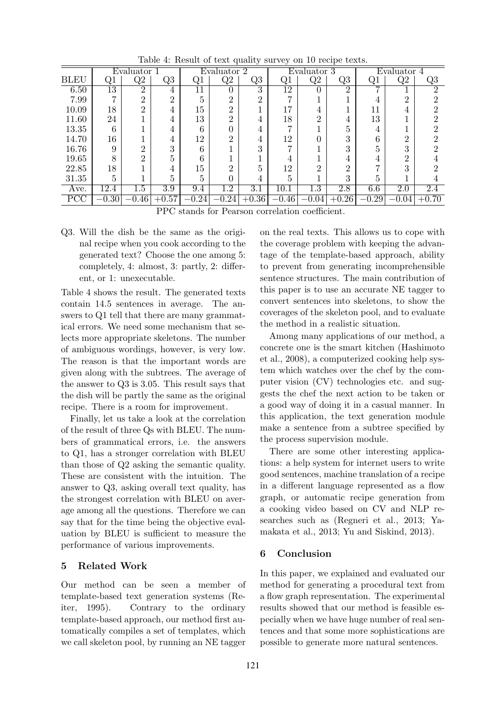|                                     |                 |                |                             |                |                  | ັ              |                 |                |                |             |          |         |
|-------------------------------------|-----------------|----------------|-----------------------------|----------------|------------------|----------------|-----------------|----------------|----------------|-------------|----------|---------|
|                                     | Evaluator 1     |                |                             | Evaluator 2    |                  |                | Evaluator 3     |                |                | Evaluator 4 |          |         |
| <b>BLEU</b>                         | Q1              | Q2             | Q3                          | Q <sub>1</sub> | Q2               | Q3             | Q1              | Q2             | Q3             | Q1          | Q2       | Q3      |
| 6.50                                | $\overline{13}$ | $\overline{2}$ | 4                           | 11             |                  | 3              | $1\overline{2}$ | 0              | $\overline{2}$ | ⇁           |          | റ       |
| 7.99                                | ⇁               | റ              | $\mathcal{D}_{\mathcal{L}}$ |                | າ                | $\overline{2}$ |                 |                |                | 4           | $\Omega$ |         |
| 10.09                               | 18              | $\Omega$       | 4                           | 15             | ົ                |                | 17              | 4              |                | 11          |          |         |
| 11.60                               | 24              |                | 4                           | 13             | റ                | 4              | 18              | $\overline{2}$ | 4              | 13          |          |         |
| 13.35                               | 6               |                | 4                           | 6              |                  | 4              | ►               |                | 5              | 4           |          |         |
| 14.70                               | 16              |                | 4                           | 12             | ົ                | 4              | 12              | 0              | 3              | 6           | റ        |         |
| 16.76                               | 9               | ച              | 3                           | 6              |                  | 3              |                 |                | 3              | 5           | ച        |         |
| 19.65                               | 8               | $\Omega$       | 5                           | 6              |                  |                |                 |                | 4              | 4           | റ        |         |
| 22.85                               | 18              |                | 4                           | 15             | ົ                | 5              | 12              | $\overline{2}$ | 2              |             | ച        |         |
| 31.35                               | 5               |                | 5                           | 5              |                  | 4              | 5               |                | 3              | 5           |          |         |
| Ave.                                | 12.4            | 1.5            | 3.9                         | 9.4            | $1.\overline{2}$ | 3.1            | 10.1            | 1.3            | 2.8            | 6.6         | 2.0      | 2.4     |
| $\overline{\mathrm{PCC}}$           | $-0.30\,$       | $-0.46$        | $+0.57$                     | $-0.24\,$      | $-0.24$          | $+0.36$        | $-0.46$         | $-0.04\,$      | $+0.26$        | $-0.29$     | $-0.04$  | $+0.70$ |
| $1 \cdot 1$ $1 \cdot 1$<br>ת זו במת |                 |                |                             |                |                  |                |                 |                |                |             |          |         |

Table 4: Result of text quality survey on 10 recipe texts.

PPC stands for Pearson correlation coefficient.

Q3. Will the dish be the same as the original recipe when you cook according to the generated text? Choose the one among 5: completely, 4: almost, 3: partly, 2: different, or 1: unexecutable.

Table 4 shows the result. The generated texts contain 14.5 sentences in average. The answers to Q1 tell that there are many grammatical errors. We need some mechanism that selects more appropriate skeletons. The number of ambiguous wordings, however, is very low. The reason is that the important words are given along with the subtrees. The average of the answer to Q3 is 3.05. This result says that the dish will be partly the same as the original recipe. There is a room for improvement.

Finally, let us take a look at the correlation of the result of three Qs with BLEU. The numbers of grammatical errors, i.e. the answers to Q1, has a stronger correlation with BLEU than those of Q2 asking the semantic quality. These are consistent with the intuition. The answer to Q3, asking overall text quality, has the strongest correlation with BLEU on average among all the questions. Therefore we can say that for the time being the objective evaluation by BLEU is sufficient to measure the performance of various improvements.

## 5 Related Work

Our method can be seen a member of template-based text generation systems (Reiter, 1995). Contrary to the ordinary template-based approach, our method first automatically compiles a set of templates, which we call skeleton pool, by running an NE tagger

on the real texts. This allows us to cope with the coverage problem with keeping the advantage of the template-based approach, ability to prevent from generating incomprehensible sentence structures. The main contribution of this paper is to use an accurate NE tagger to convert sentences into skeletons, to show the coverages of the skeleton pool, and to evaluate the method in a realistic situation.

Among many applications of our method, a concrete one is the smart kitchen (Hashimoto et al., 2008), a computerized cooking help system which watches over the chef by the computer vision (CV) technologies etc. and suggests the chef the next action to be taken or a good way of doing it in a casual manner. In this application, the text generation module make a sentence from a subtree specified by the process supervision module.

There are some other interesting applications: a help system for internet users to write good sentences, machine translation of a recipe in a different language represented as a flow graph, or automatic recipe generation from a cooking video based on CV and NLP researches such as (Regneri et al., 2013; Yamakata et al., 2013; Yu and Siskind, 2013).

# 6 Conclusion

In this paper, we explained and evaluated our method for generating a procedural text from a flow graph representation. The experimental results showed that our method is feasible especially when we have huge number of real sentences and that some more sophistications are possible to generate more natural sentences.